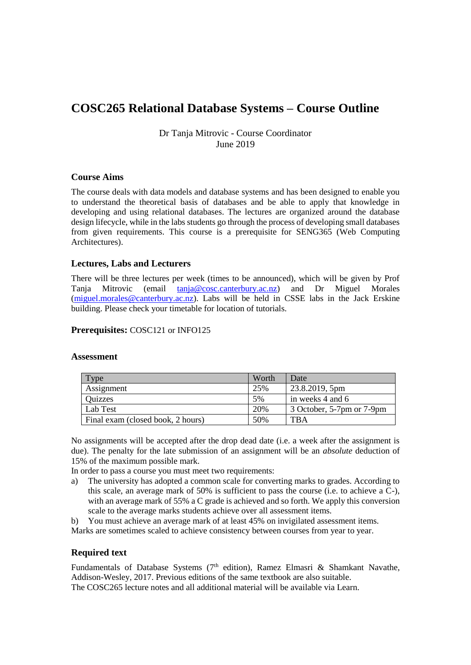# **COSC265 Relational Database Systems – Course Outline**

Dr Tanja Mitrovic - Course Coordinator June 2019

# **Course Aims**

The course deals with data models and database systems and has been designed to enable you to understand the theoretical basis of databases and be able to apply that knowledge in developing and using relational databases. The lectures are organized around the database design lifecycle, while in the labs students go through the process of developing small databases from given requirements. This course is a prerequisite for SENG365 (Web Computing Architectures).

# **Lectures, Labs and Lecturers**

There will be three lectures per week (times to be announced), which will be given by Prof Tanja Mitrovic (email [tanja@cosc.canterbury.ac.nz\)](mailto:tanja@cosc.canterbury.ac.nz) and Dr Miguel Morales [\(miguel.morales@canterbury.ac.nz\)](mailto:miguel.morales@canterbury.ac.nz). Labs will be held in CSSE labs in the Jack Erskine building. Please check your timetable for location of tutorials.

### **Prerequisites:** COSC121 or INFO125

#### **Assessment**

| 'vpe                              | Worth | Date                      |
|-----------------------------------|-------|---------------------------|
| Assignment                        | 25%   | 23.8.2019, 5pm            |
| <b>Ouizzes</b>                    | 5%    | in weeks 4 and 6          |
| Lab Test                          | 20%   | 3 October, 5-7pm or 7-9pm |
| Final exam (closed book, 2 hours) | 50%   | <b>TBA</b>                |

No assignments will be accepted after the drop dead date (i.e. a week after the assignment is due). The penalty for the late submission of an assignment will be an *absolute* deduction of 15% of the maximum possible mark.

In order to pass a course you must meet two requirements:

a) The university has adopted a common scale for converting marks to grades. According to this scale, an average mark of 50% is sufficient to pass the course (i.e. to achieve a C-), with an average mark of 55% a C grade is achieved and so forth. We apply this conversion scale to the average marks students achieve over all assessment items.

b) You must achieve an average mark of at least 45% on invigilated assessment items.

Marks are sometimes scaled to achieve consistency between courses from year to year.

# **Required text**

Fundamentals of Database Systems (7<sup>th</sup> edition), Ramez Elmasri & Shamkant Navathe, Addison-Wesley, 2017. Previous editions of the same textbook are also suitable. The COSC265 lecture notes and all additional material will be available via Learn.